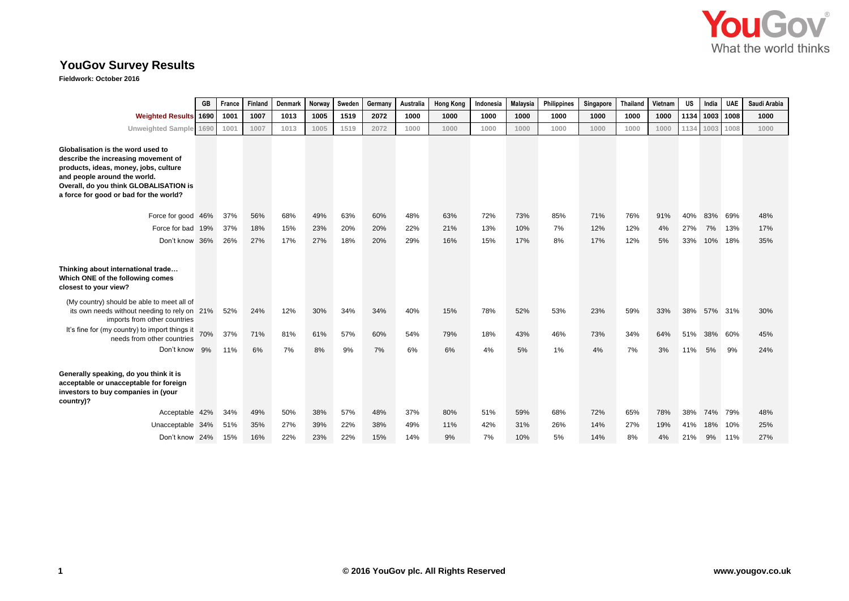

## **YouGov Survey Results**

**Fieldwork: October 2016**

|                                                                                                                                                                                                                                       | GB  | France | Finland | Denmark | Norway | Sweden | Germany | Australia | <b>Hong Kong</b> | Indonesia | <b>Malaysia</b> | Philippines | Singapore | <b>Thailand</b> | Vietnam | <b>US</b> | India   | <b>UAE</b> | Saudi Arabia |
|---------------------------------------------------------------------------------------------------------------------------------------------------------------------------------------------------------------------------------------|-----|--------|---------|---------|--------|--------|---------|-----------|------------------|-----------|-----------------|-------------|-----------|-----------------|---------|-----------|---------|------------|--------------|
| <b>Weighted Results 1690</b>                                                                                                                                                                                                          |     | 1001   | 1007    | 1013    | 1005   | 1519   | 2072    | 1000      | 1000             | 1000      | 1000            | 1000        | 1000      | 1000            | 1000    | 1134      | 1003    | 1008       | 1000         |
| Unweighted Sample 1690                                                                                                                                                                                                                |     | 1001   | 1007    | 1013    | 1005   | 1519   | 2072    | 1000      | 1000             | 1000      | 1000            | 1000        | 1000      | 1000            | 1000    | 1134      | 1003    | 1008       | 1000         |
| Globalisation is the word used to<br>describe the increasing movement of<br>products, ideas, money, jobs, culture<br>and people around the world.<br>Overall, do you think GLOBALISATION is<br>a force for good or bad for the world? |     |        |         |         |        |        |         |           |                  |           |                 |             |           |                 |         |           |         |            |              |
| Force for good 46%                                                                                                                                                                                                                    |     | 37%    | 56%     | 68%     | 49%    | 63%    | 60%     | 48%       | 63%              | 72%       | 73%             | 85%         | 71%       | 76%             | 91%     | 40%       | 83%     | 69%        | 48%          |
| Force for bad                                                                                                                                                                                                                         | 19% | 37%    | 18%     | 15%     | 23%    | 20%    | 20%     | 22%       | 21%              | 13%       | 10%             | 7%          | 12%       | 12%             | 4%      | 27%       | 7%      | 13%        | 17%          |
| Don't know                                                                                                                                                                                                                            | 36% | 26%    | 27%     | 17%     | 27%    | 18%    | 20%     | 29%       | 16%              | 15%       | 17%             | 8%          | 17%       | 12%             | 5%      | 33%       | 10% 18% |            | 35%          |
| Thinking about international trade<br>Which ONE of the following comes<br>closest to your view?<br>(My country) should be able to meet all of                                                                                         |     |        |         |         |        |        |         |           |                  |           |                 |             |           |                 |         |           |         |            |              |
| its own needs without needing to rely on 21%<br>imports from other countries                                                                                                                                                          |     | 52%    | 24%     | 12%     | 30%    | 34%    | 34%     | 40%       | 15%              | 78%       | 52%             | 53%         | 23%       | 59%             | 33%     | 38%       | 57%     | 31%        | 30%          |
| It's fine for (my country) to import things it<br>needs from other countries                                                                                                                                                          | 70% | 37%    | 71%     | 81%     | 61%    | 57%    | 60%     | 54%       | 79%              | 18%       | 43%             | 46%         | 73%       | 34%             | 64%     | 51%       | 38%     | 60%        | 45%          |
| Don't know                                                                                                                                                                                                                            | 9%  | 11%    | 6%      | 7%      | 8%     | 9%     | 7%      | 6%        | 6%               | 4%        | 5%              | 1%          | 4%        | 7%              | 3%      | 11%       | 5%      | 9%         | 24%          |
| Generally speaking, do you think it is<br>acceptable or unacceptable for foreign<br>investors to buy companies in (your<br>country)?                                                                                                  |     |        |         |         |        |        |         |           |                  |           |                 |             |           |                 |         |           |         |            |              |
| Acceptable 42%                                                                                                                                                                                                                        |     | 34%    | 49%     | 50%     | 38%    | 57%    | 48%     | 37%       | 80%              | 51%       | 59%             | 68%         | 72%       | 65%             | 78%     | 38%       | 74% 79% |            | 48%          |
| Unacceptable 34%                                                                                                                                                                                                                      |     | 51%    | 35%     | 27%     | 39%    | 22%    | 38%     | 49%       | 11%              | 42%       | 31%             | 26%         | 14%       | 27%             | 19%     | 41%       | 18%     | 10%        | 25%          |
| Don't know 24%                                                                                                                                                                                                                        |     | 15%    | 16%     | 22%     | 23%    | 22%    | 15%     | 14%       | 9%               | 7%        | 10%             | 5%          | 14%       | 8%              | 4%      | 21%       | 9%      | 11%        | 27%          |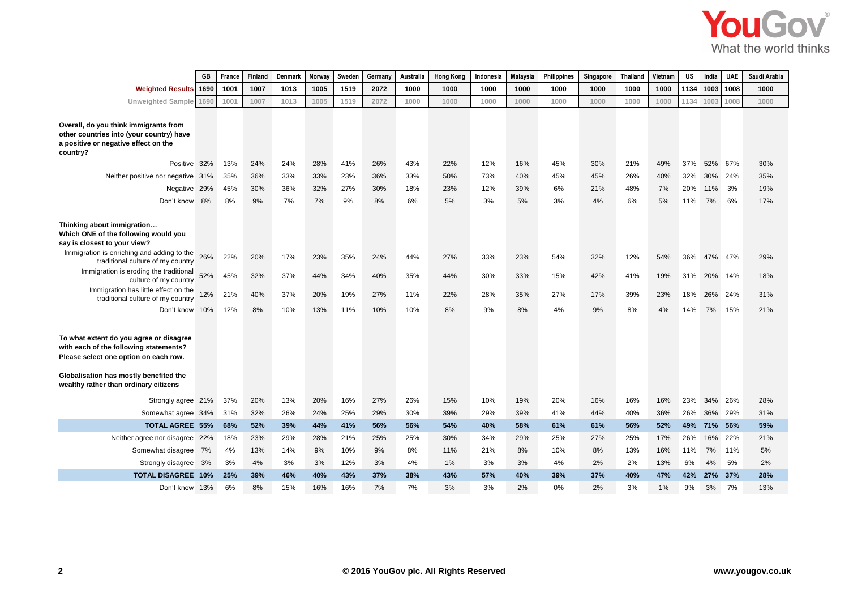

|                                                                                                                                                                                                               | GB   | France     | Finland    | Denmark    | Norway     | Sweden     | Germany    | Australia  | <b>Hong Kong</b> | Indonesia  | <b>Malaysia</b> | Philippines | Singapore  | <b>Thailand</b> | Vietnam    | <b>US</b>  | India      | <b>UAE</b> | Saudi Arabia |
|---------------------------------------------------------------------------------------------------------------------------------------------------------------------------------------------------------------|------|------------|------------|------------|------------|------------|------------|------------|------------------|------------|-----------------|-------------|------------|-----------------|------------|------------|------------|------------|--------------|
| <b>Weighted Results</b>                                                                                                                                                                                       | 1690 | 1001       | 1007       | 1013       | 1005       | 1519       | 2072       | 1000       | 1000             | 1000       | 1000            | 1000        | 1000       | 1000            | 1000       | 1134       | 1003       | 1008       | 1000         |
| Unweighted Sample 1690                                                                                                                                                                                        |      | 1001       | 1007       | 1013       | 1005       | 1519       | 2072       | 1000       | 1000             | 1000       | 1000            | 1000        | 1000       | 1000            | 1000       | 1134       | 1003       | 1008       | 1000         |
| Overall, do you think immigrants from<br>other countries into (your country) have<br>a positive or negative effect on the<br>country?                                                                         |      |            |            |            |            |            |            |            |                  |            |                 |             |            |                 |            |            |            |            |              |
| Positive 32%                                                                                                                                                                                                  |      | 13%<br>35% | 24%<br>36% | 24%<br>33% | 28%<br>33% | 41%<br>23% | 26%<br>36% | 43%<br>33% | 22%<br>50%       | 12%<br>73% | 16%<br>40%      | 45%<br>45%  | 30%<br>45% | 21%<br>26%      | 49%<br>40% | 37%<br>32% | 52%<br>30% | 67%<br>24% | 30%<br>35%   |
| Neither positive nor negative 31%<br>Negative 29%                                                                                                                                                             |      | 45%        | 30%        | 36%        | 32%        | 27%        | 30%        | 18%        | 23%              | 12%        | 39%             | 6%          | 21%        | 48%             | 7%         | 20%        | 11%        | 3%         | 19%          |
| Don't know 8%                                                                                                                                                                                                 |      | 8%         | 9%         | 7%         | 7%         | 9%         | 8%         | 6%         | 5%               | 3%         | 5%              | 3%          | 4%         | 6%              | 5%         | 11%        | 7%         | 6%         | 17%          |
|                                                                                                                                                                                                               |      |            |            |            |            |            |            |            |                  |            |                 |             |            |                 |            |            |            |            |              |
| Thinking about immigration<br>Which ONE of the following would you<br>say is closest to your view?                                                                                                            |      |            |            |            |            |            |            |            |                  |            |                 |             |            |                 |            |            |            |            |              |
| Immigration is enriching and adding to the<br>traditional culture of my country                                                                                                                               |      | 22%        | 20%        | 17%        | 23%        | 35%        | 24%        | 44%        | 27%              | 33%        | 23%             | 54%         | 32%        | 12%             | 54%        | 36%        | 47%        | 47%        | 29%          |
| Immigration is eroding the traditional<br>culture of my country                                                                                                                                               | 52%  | 45%        | 32%        | 37%        | 44%        | 34%        | 40%        | 35%        | 44%              | 30%        | 33%             | 15%         | 42%        | 41%             | 19%        | 31%        | 20%        | 14%        | 18%          |
| Immigration has little effect on the<br>traditional culture of my country                                                                                                                                     | 12%  | 21%        | 40%        | 37%        | 20%        | 19%        | 27%        | 11%        | 22%              | 28%        | 35%             | 27%         | 17%        | 39%             | 23%        | 18%        | 26%        | 24%        | 31%          |
| Don't know 10%                                                                                                                                                                                                |      | 12%        | 8%         | 10%        | 13%        | 11%        | 10%        | 10%        | 8%               | 9%         | 8%              | 4%          | 9%         | 8%              | 4%         | 14%        | 7%         | 15%        | 21%          |
| To what extent do you agree or disagree<br>with each of the following statements?<br>Please select one option on each row.<br>Globalisation has mostly benefited the<br>wealthy rather than ordinary citizens |      |            |            |            |            |            |            |            |                  |            |                 |             |            |                 |            |            |            |            |              |
| Strongly agree 21%                                                                                                                                                                                            |      | 37%        | 20%        | 13%        | 20%        | 16%        | 27%        | 26%        | 15%              | 10%        | 19%             | 20%         | 16%        | 16%             | 16%        | 23%        | 34%        | 26%        | 28%          |
| Somewhat agree 34%                                                                                                                                                                                            |      | 31%        | 32%        | 26%        | 24%        | 25%        | 29%        | 30%        | 39%              | 29%        | 39%             | 41%         | 44%        | 40%             | 36%        | 26%        | 36%        | 29%        | 31%          |
| <b>TOTAL AGREE 55%</b>                                                                                                                                                                                        |      | 68%        | 52%        | 39%        | 44%        | 41%        | 56%        | 56%        | 54%              | 40%        | 58%             | 61%         | 61%        | 56%             | 52%        | 49%        | 71%        | 56%        | 59%          |
| Neither agree nor disagree 22%                                                                                                                                                                                |      | 18%        | 23%        | 29%        | 28%        | 21%        | 25%        | 25%        | 30%              | 34%        | 29%             | 25%         | 27%        | 25%             | 17%        | 26%        | 16%        | 22%        | 21%          |
| Somewhat disagree                                                                                                                                                                                             | 7%   | 4%         | 13%        | 14%        | 9%         | 10%        | 9%         | 8%         | 11%              | 21%        | 8%              | 10%         | 8%         | 13%             | 16%        | 11%        | 7%         | 11%        | 5%           |
| Strongly disagree 3%                                                                                                                                                                                          |      | 3%         | 4%         | 3%         | 3%         | 12%        | 3%         | 4%         | $1\%$            | 3%         | 3%              | 4%          | 2%         | 2%              | 13%        | 6%         | 4%         | 5%         | 2%           |
| <b>TOTAL DISAGREE 10%</b>                                                                                                                                                                                     |      | 25%        | 39%        | 46%        | 40%        | 43%        | 37%        | 38%        | 43%              | 57%        | 40%             | 39%         | 37%        | 40%             | 47%        | 42%        | 27%        | 37%        | 28%          |
| Don't know 13%                                                                                                                                                                                                |      | 6%         | 8%         | 15%        | 16%        | 16%        | 7%         | 7%         | 3%               | 3%         | 2%              | 0%          | 2%         | 3%              | 1%         | 9%         | 3%         | 7%         | 13%          |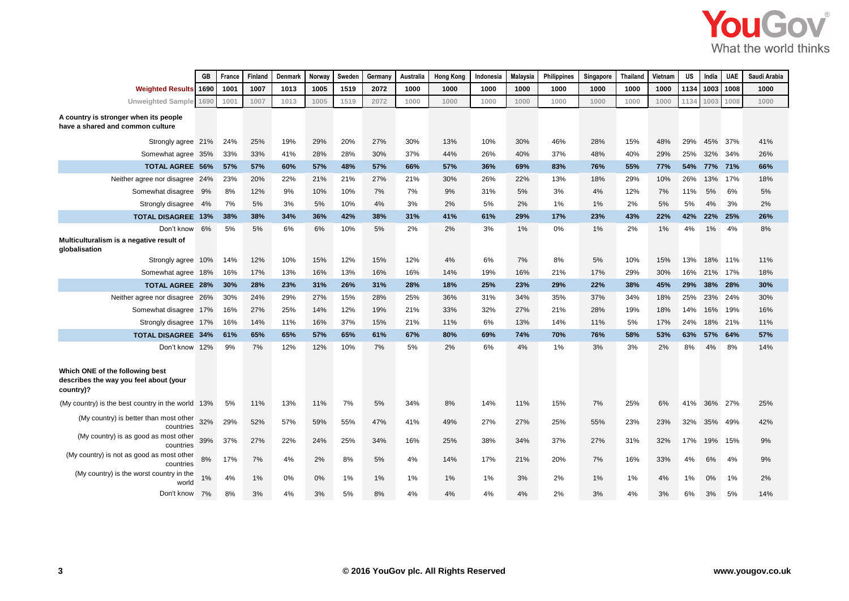|                                                                                        | GB   | France | Finland | Denmark | Norway | Sweden | Germany | Australia | <b>Hong Kong</b> | Indonesia | <b>Malaysia</b> | <b>Philippines</b> | Singapore | <b>Thailand</b> | Vietnam | <b>US</b> | India   | <b>UAE</b> | Saudi Arabia |
|----------------------------------------------------------------------------------------|------|--------|---------|---------|--------|--------|---------|-----------|------------------|-----------|-----------------|--------------------|-----------|-----------------|---------|-----------|---------|------------|--------------|
| <b>Weighted Results</b>                                                                | 1690 | 1001   | 1007    | 1013    | 1005   | 1519   | 2072    | 1000      | 1000             | 1000      | 1000            | 1000               | 1000      | 1000            | 1000    | 1134      | 1003    | 1008       | 1000         |
| <b>Unweighted Sample</b>                                                               | 1690 | 1001   | 1007    | 1013    | 1005   | 1519   | 2072    | 1000      | 1000             | 1000      | 1000            | 1000               | 1000      | 1000            | 1000    | 1134      | 1003    | 1008       | 1000         |
| A country is stronger when its people<br>have a shared and common culture              |      |        |         |         |        |        |         |           |                  |           |                 |                    |           |                 |         |           |         |            |              |
| Strongly agree 21%                                                                     |      | 24%    | 25%     | 19%     | 29%    | 20%    | 27%     | 30%       | 13%              | 10%       | 30%             | 46%                | 28%       | 15%             | 48%     | 29%       | 45%     | 37%        | 41%          |
| Somewhat agree 35%                                                                     |      | 33%    | 33%     | 41%     | 28%    | 28%    | 30%     | 37%       | 44%              | 26%       | 40%             | 37%                | 48%       | 40%             | 29%     | 25%       | 32%     | 34%        | 26%          |
| <b>TOTAL AGREE 56%</b>                                                                 |      | 57%    | 57%     | 60%     | 57%    | 48%    | 57%     | 66%       | 57%              | 36%       | 69%             | 83%                | 76%       | 55%             | 77%     | 54%       | 77%     | 71%        | 66%          |
| Neither agree nor disagree 24%                                                         |      | 23%    | 20%     | 22%     | 21%    | 21%    | 27%     | 21%       | 30%              | 26%       | 22%             | 13%                | 18%       | 29%             | 10%     | 26%       | 13%     | 17%        | 18%          |
| Somewhat disagree 9%                                                                   |      | 8%     | 12%     | 9%      | 10%    | 10%    | 7%      | 7%        | 9%               | 31%       | 5%              | 3%                 | 4%        | 12%             | 7%      | 11%       | 5%      | 6%         | 5%           |
| Strongly disagree 4%                                                                   |      | 7%     | 5%      | 3%      | 5%     | 10%    | 4%      | 3%        | 2%               | 5%        | 2%              | 1%                 | 1%        | 2%              | 5%      | 5%        | 4%      | 3%         | 2%           |
| <b>TOTAL DISAGREE 13%</b>                                                              |      | 38%    | 38%     | 34%     | 36%    | 42%    | 38%     | 31%       | 41%              | 61%       | 29%             | 17%                | 23%       | 43%             | 22%     | 42%       | 22%     | 25%        | 26%          |
| Don't know<br>Multiculturalism is a negative result of<br>globalisation                | 6%   | 5%     | 5%      | 6%      | 6%     | 10%    | 5%      | 2%        | 2%               | 3%        | 1%              | $0\%$              | 1%        | 2%              | 1%      | 4%        | 1%      | 4%         | 8%           |
| Strongly agree 10%                                                                     |      | 14%    | 12%     | 10%     | 15%    | 12%    | 15%     | 12%       | 4%               | 6%        | 7%              | 8%                 | 5%        | 10%             | 15%     | 13%       | 18% 11% |            | 11%          |
| Somewhat agree 18%                                                                     |      | 16%    | 17%     | 13%     | 16%    | 13%    | 16%     | 16%       | 14%              | 19%       | 16%             | 21%                | 17%       | 29%             | 30%     | 16%       | 21%     | 17%        | 18%          |
| <b>TOTAL AGREE 28%</b>                                                                 |      | 30%    | 28%     | 23%     | 31%    | 26%    | 31%     | 28%       | 18%              | 25%       | 23%             | 29%                | 22%       | 38%             | 45%     | 29%       | 38%     | 28%        | 30%          |
| Neither agree nor disagree 26%                                                         |      | 30%    | 24%     | 29%     | 27%    | 15%    | 28%     | 25%       | 36%              | 31%       | 34%             | 35%                | 37%       | 34%             | 18%     | 25%       | 23%     | 24%        | 30%          |
| Somewhat disagree 17%                                                                  |      | 16%    | 27%     | 25%     | 14%    | 12%    | 19%     | 21%       | 33%              | 32%       | 27%             | 21%                | 28%       | 19%             | 18%     | 14%       | 16%     | 19%        | 16%          |
| Strongly disagree 17%                                                                  |      | 16%    | 14%     | 11%     | 16%    | 37%    | 15%     | 21%       | 11%              | 6%        | 13%             | 14%                | 11%       | 5%              | 17%     | 24%       | 18%     | 21%        | 11%          |
| <b>TOTAL DISAGREE 34%</b>                                                              |      | 61%    | 65%     | 65%     | 57%    | 65%    | 61%     | 67%       | 80%              | 69%       | 74%             | 70%                | 76%       | 58%             | 53%     | 63%       | 57%     | 64%        | 57%          |
| Don't know 12%                                                                         |      | 9%     | 7%      | 12%     | 12%    | 10%    | 7%      | 5%        | 2%               | 6%        | 4%              | 1%                 | 3%        | 3%              | 2%      | 8%        | 4%      | 8%         | 14%          |
| Which ONE of the following best<br>describes the way you feel about (your<br>country)? |      |        |         |         |        |        |         |           |                  |           |                 |                    |           |                 |         |           |         |            |              |
| (My country) is the best country in the world 13%                                      |      | 5%     | 11%     | 13%     | 11%    | 7%     | 5%      | 34%       | 8%               | 14%       | 11%             | 15%                | 7%        | 25%             | 6%      | 41%       | 36%     | 27%        | 25%          |
| (My country) is better than most other<br>countries                                    |      | 29%    | 52%     | 57%     | 59%    | 55%    | 47%     | 41%       | 49%              | 27%       | 27%             | 25%                | 55%       | 23%             | 23%     | 32%       | 35%     | 49%        | 42%          |
| (My country) is as good as most other<br>countries                                     | 39%  | 37%    | 27%     | 22%     | 24%    | 25%    | 34%     | 16%       | 25%              | 38%       | 34%             | 37%                | 27%       | 31%             | 32%     | 17%       | 19%     | 15%        | 9%           |
| (My country) is not as good as most other<br>countries                                 | 8%   | 17%    | 7%      | 4%      | 2%     | 8%     | 5%      | 4%        | 14%              | 17%       | 21%             | 20%                | 7%        | 16%             | 33%     | 4%        | 6%      | 4%         | 9%           |
| (My country) is the worst country in the<br>world                                      | 1%   | 4%     | 1%      | 0%      | 0%     | $1\%$  | 1%      | 1%        | 1%               | 1%        | 3%              | 2%                 | 1%        | 1%              | 4%      | 1%        | 0%      | 1%         | 2%           |
| Don't know                                                                             | 7%   | 8%     | 3%      | 4%      | 3%     | 5%     | 8%      | 4%        | 4%               | 4%        | 4%              | 2%                 | 3%        | 4%              | 3%      | 6%        | 3%      | 5%         | 14%          |